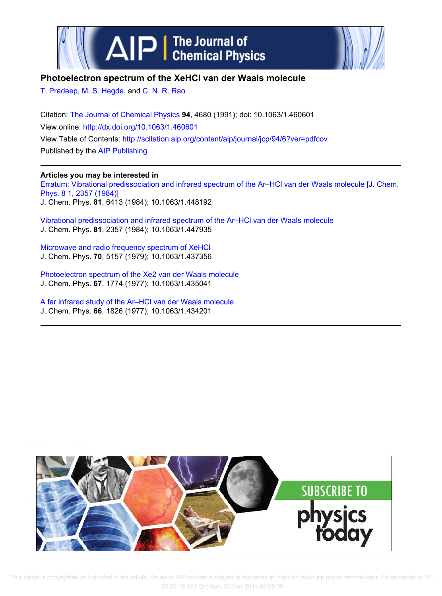



## **Photoelectron spectrum of the XeHCl van der Waals molecule**

T. Pradeep, M. S. Hegde, and C. N. R. Rao

Citation: The Journal of Chemical Physics **94**, 4680 (1991); doi: 10.1063/1.460601 View online: http://dx.doi.org/10.1063/1.460601 View Table of Contents: http://scitation.aip.org/content/aip/journal/jcp/94/6?ver=pdfcov Published by the AIP Publishing

## **Articles you may be interested in**

Erratum: Vibrational predissociation and infrared spectrum of the Ar–HCl van der Waals molecule [J. Chem. Phys. 8 1, 2357 (1984)] J. Chem. Phys. **81**, 6413 (1984); 10.1063/1.448192

Vibrational predissociation and infrared spectrum of the Ar–HCl van der Waals molecule J. Chem. Phys. **81**, 2357 (1984); 10.1063/1.447935

Microwave and radio frequency spectrum of XeHCl J. Chem. Phys. **70**, 5157 (1979); 10.1063/1.437356

Photoelectron spectrum of the Xe2 van der Waals molecule J. Chem. Phys. **67**, 1774 (1977); 10.1063/1.435041

A far infrared study of the Ar–HCl van der Waals molecule J. Chem. Phys. **66**, 1826 (1977); 10.1063/1.434201



 This article is copyrighted as indicated in the article. Reuse of AIP content is subject to the terms at: http://scitation.aip.org/termsconditions. Downloaded to IP: 155.33.16.124 On: Sun, 30 Nov 2014 02:29:59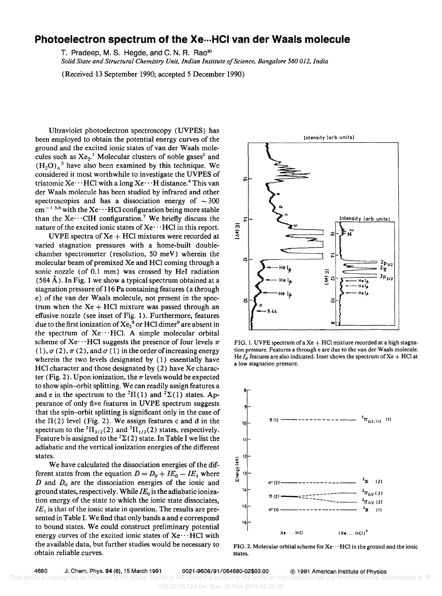## **Photoelectron spectrum of the Xe···HCI van der Waals molecule**

T. Pradeep, M. S. Hegde, and C. N. R. Rao<sup>a)</sup>

*Solid State and Structural Chemistry Unit, Indian Institute a/Science, Bangalore 560 012, India* 

(Received 13 September 1990; accepted 5 December 1990)

Ultraviolet photoelectron spectroscopy (UVPES) has been employed to obtain the potential energy curves of the ground and the excited ionic states of van der Waals molecules such as  $Xe_2$ <sup>1</sup> Molecular clusters of noble gases<sup>2</sup> and  $(H<sub>2</sub>O)<sub>n</sub><sup>3</sup>$  have also been examined by this technique. We considered it most worthwhile to investigate the UVPES of triatomic Xe $\cdots$  HCl with a long Xe $\cdots$  H distance.<sup>4</sup> This van der Waals molecule has been studied by infrared and other spectroscopies and has a dissociation energy of  $\sim$  300  $cm^{-1.5,6}$  with the Xe $\cdots$  HCl configuration being more stable than the Xe $\cdots$ CIH configuration.<sup>7</sup> We briefly discuss the nature of the excited ionic states of  $Xe^{...}HCl$  in this report.

UVPE spectra of  $Xe + HCl$  mixtures were recorded at varied stagnation pressures with a home-built doublechamber spectrometer (resolution, 50 meV) wherein the molecular beam of premixed Xe and HCI coming through a sonic nozzle (of 0.1 mm) was crossed by HeI radiation  $(584 \text{ Å})$ . In Fig. 1 we show a typical spectrum obtained at a stagnation pressure of 116 Pa containing features (a through e) of the van der Waals molecule, not present in the spectrum when the  $Xe + HCl$  mixture was passed through an effusive nozzle (see inset of Fig. I). Furthermore, features due to the first ionization of  $\mathrm{Xe_{2}}^{8}$  or HCl dimer $^{9}$  are absent in the spectrum of  $Xe \cdots HCl$ . A simple molecular orbital scheme of Xe $\cdots$ HCl suggests the presence of four levels  $\pi$  $(1)$ ,  $\sigma$  (2),  $\pi$  (2), and  $\sigma$  (1) in the order of increasing energy wherein the two levels designated by (I) essentially have HCI character and those designated by (2) have Xe character (Fig. 2). Upon ionization, the  $\pi$  levels would be expected to show spin-orbit splitting. We can readily assign features a and e in the spectrum to the <sup>2</sup> $\Pi(1)$  and <sup>2</sup> $\Sigma(1)$  states. Appearance of only five features in UVPE spectrum suggests that the spin-orbit splitting is significant only in the case of the  $\Pi(2)$  level (Fig. 2). We assign features c and d in the spectrum to the <sup>2</sup> $\Pi_{3/2}(2)$  and <sup>2</sup> $\Pi_{1/2}(2)$  states, respectively. Feature b is assigned to the  ${}^{2}\Sigma(2)$  state. In Table I we list the adiabatic and the vertical ionization energies of the different states.

We have calculated the dissociation energies of the different states from the equation  $D = D_0 + I E_0 - I E_1$  where *D* and *Do* are the dissociation energies of the ionic and ground states, respectively. While *lEo* is the adiabatic ionization energy of the state to which the ionic state dissociates,  $IE<sub>1</sub>$  is that of the ionic state in question. The results are presented in Table I. We find that only bands a and e correspond to bound states. We could construct preliminary potential energy curves of the excited ionic states of  $Xe \cdots HCl$  with the available data, but further studies would be necessary to obtain reliable curves.



FIG. 1. UVPE spectrum of a Xe + HCl mixture recorded at a high stagnation pressure, Features a through e are due to the van der Waals molecule. He  $I_B$  features are also indicated. Inset shows the spectrum of Xe + HCl at a low stagnation pressure.



FIG. 2. Molecular orbital scheme for Xe $\cdots$ HCl in the ground and the ionic states.

This article is copyrighted as indicated in the article. Reuse of AIP content is subject to the terms at: http://scitation.aip.org 155.33.16.124 On: Sun, 30 Nov 2014 02:29:59